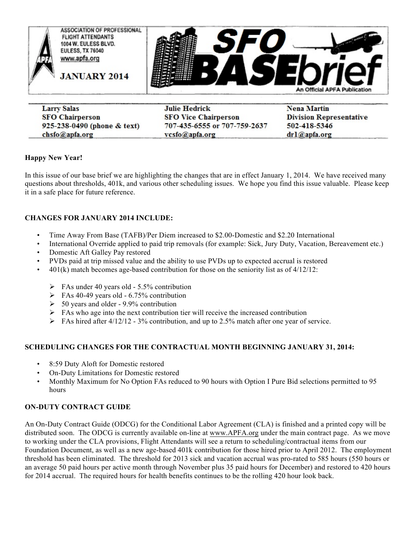

| <b>Larry Salas</b>          | Julie Hedrick                                                                                                                                                                                                                                          | <b>Nena Martin</b>             |
|-----------------------------|--------------------------------------------------------------------------------------------------------------------------------------------------------------------------------------------------------------------------------------------------------|--------------------------------|
| <b>SFO Chairperson</b>      | <b>SFO Vice Chairperson</b>                                                                                                                                                                                                                            | <b>Division Representative</b> |
| 925-238-0490 (phone & text) | 707-435-6555 or 707-759-2637                                                                                                                                                                                                                           | 502-418-5346                   |
| chsfo@apfa.org              | vcsfo@apfa.org<br><b>BEING A REPORTED A REPORT OF A REPORT OF A REPORT OF A REPORT OF A REPORT OF A REPORT OF A REPORT OF A REPORT OF A REPORT OF A REPORT OF A REPORT OF A REPORT OF A REPORT OF A REPORT OF A REPORT OF A REPORT OF A REPORT OF </b> | dr1@apfa.org                   |

### **Happy New Year!**

In this issue of our base brief we are highlighting the changes that are in effect January 1, 2014. We have received many questions about thresholds, 401k, and various other scheduling issues. We hope you find this issue valuable. Please keep it in a safe place for future reference.

### **CHANGES FOR JANUARY 2014 INCLUDE:**

- Time Away From Base (TAFB)/Per Diem increased to \$2.00-Domestic and \$2.20 International
- International Override applied to paid trip removals (for example: Sick, Jury Duty, Vacation, Bereavement etc.)
- Domestic Aft Galley Pay restored
- PVDs paid at trip missed value and the ability to use PVDs up to expected accrual is restored
- 401(k) match becomes age-based contribution for those on the seniority list as of 4/12/12:
	- $\triangleright$  FAs under 40 years old 5.5% contribution
	- $\triangleright$  FAs 40-49 years old 6.75% contribution
	- $\geq 50$  years and older 9.9% contribution
	- $\triangleright$  FAs who age into the next contribution tier will receive the increased contribution
	- $\triangleright$  FAs hired after 4/12/12 3% contribution, and up to 2.5% match after one year of service.

### **SCHEDULING CHANGES FOR THE CONTRACTUAL MONTH BEGINNING JANUARY 31, 2014:**

- 8:59 Duty Aloft for Domestic restored
- On-Duty Limitations for Domestic restored
- Monthly Maximum for No Option FAs reduced to 90 hours with Option I Pure Bid selections permitted to 95 hours

### **ON-DUTY CONTRACT GUIDE**

An On-Duty Contract Guide (ODCG) for the Conditional Labor Agreement (CLA) is finished and a printed copy will be distributed soon. The ODCG is currently available on-line at www.APFA.org under the main contract page. As we move to working under the CLA provisions, Flight Attendants will see a return to scheduling/contractual items from our Foundation Document, as well as a new age-based 401k contribution for those hired prior to April 2012. The employment threshold has been eliminated. The threshold for 2013 sick and vacation accrual was pro-rated to 585 hours (550 hours or an average 50 paid hours per active month through November plus 35 paid hours for December) and restored to 420 hours for 2014 accrual. The required hours for health benefits continues to be the rolling 420 hour look back.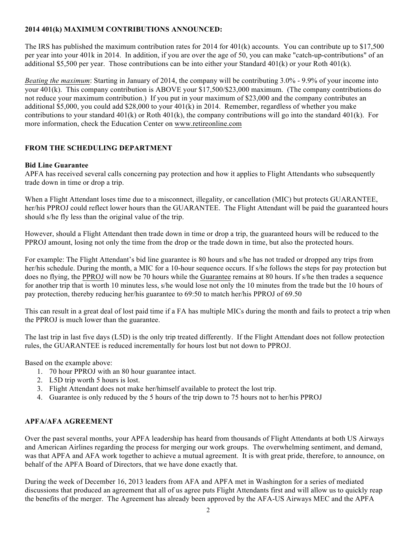## **2014 401(k) MAXIMUM CONTRIBUTIONS ANNOUNCED:**

The IRS has published the maximum contribution rates for 2014 for 401(k) accounts. You can contribute up to \$17,500 per year into your 401k in 2014. In addition, if you are over the age of 50, you can make "catch-up-contributions" of an additional \$5,500 per year. Those contributions can be into either your Standard 401(k) or your Roth 401(k).

*Beating the maximum*: Starting in January of 2014, the company will be contributing 3.0% - 9.9% of your income into your 401(k). This company contribution is ABOVE your \$17,500/\$23,000 maximum. (The company contributions do not reduce your maximum contribution.) If you put in your maximum of \$23,000 and the company contributes an additional \$5,000, you could add \$28,000 to your  $401(k)$  in 2014. Remember, regardless of whether you make contributions to your standard  $401(k)$  or Roth  $401(k)$ , the company contributions will go into the standard  $401(k)$ . For more information, check the Education Center on www.retireonline.com

# **FROM THE SCHEDULING DEPARTMENT**

#### **Bid Line Guarantee**

APFA has received several calls concerning pay protection and how it applies to Flight Attendants who subsequently trade down in time or drop a trip.

When a Flight Attendant loses time due to a misconnect, illegality, or cancellation (MIC) but protects GUARANTEE, her/his PPROJ could reflect lower hours than the GUARANTEE. The Flight Attendant will be paid the guaranteed hours should s/he fly less than the original value of the trip.

However, should a Flight Attendant then trade down in time or drop a trip, the guaranteed hours will be reduced to the PPROJ amount, losing not only the time from the drop or the trade down in time, but also the protected hours.

For example: The Flight Attendant's bid line guarantee is 80 hours and s/he has not traded or dropped any trips from her/his schedule. During the month, a MIC for a 10-hour sequence occurs. If s/he follows the steps for pay protection but does no flying, the PPROJ will now be 70 hours while the Guarantee remains at 80 hours. If s/he then trades a sequence for another trip that is worth 10 minutes less, s/he would lose not only the 10 minutes from the trade but the 10 hours of pay protection, thereby reducing her/his guarantee to 69:50 to match her/his PPROJ of 69.50

This can result in a great deal of lost paid time if a FA has multiple MICs during the month and fails to protect a trip when the PPROJ is much lower than the guarantee.

The last trip in last five days (L5D) is the only trip treated differently. If the Flight Attendant does not follow protection rules, the GUARANTEE is reduced incrementally for hours lost but not down to PPROJ.

Based on the example above:

- 1. 70 hour PPROJ with an 80 hour guarantee intact.
- 2. L5D trip worth 5 hours is lost.
- 3. Flight Attendant does not make her/himself available to protect the lost trip.
- 4. Guarantee is only reduced by the 5 hours of the trip down to 75 hours not to her/his PPROJ

#### **APFA/AFA AGREEMENT**

Over the past several months, your APFA leadership has heard from thousands of Flight Attendants at both US Airways and American Airlines regarding the process for merging our work groups. The overwhelming sentiment, and demand, was that APFA and AFA work together to achieve a mutual agreement. It is with great pride, therefore, to announce, on behalf of the APFA Board of Directors, that we have done exactly that.

During the week of December 16, 2013 leaders from AFA and APFA met in Washington for a series of mediated discussions that produced an agreement that all of us agree puts Flight Attendants first and will allow us to quickly reap the benefits of the merger. The Agreement has already been approved by the AFA-US Airways MEC and the APFA